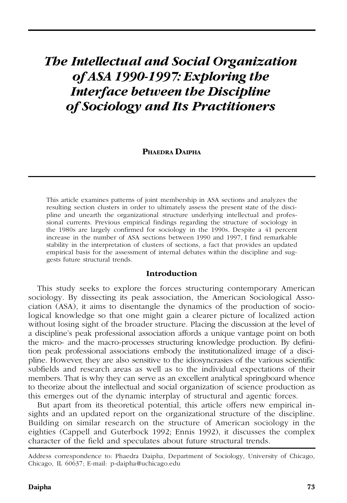# *The Intellectual and Social Organization of ASA 1990-1997: Exploring the Interface between the Discipline of Sociology and Its Practitioners*

#### **PHAEDRA DAIPHA**

This article examines patterns of joint membership in ASA sections and analyzes the resulting section clusters in order to ultimately assess the present state of the discipline and unearth the organizational structure underlying intellectual and professional currents. Previous empirical findings regarding the structure of sociology in the 1980s are largely confirmed for sociology in the 1990s. Despite a 41 percent increase in the number of ASA sections between 1990 and 1997, I find remarkable stability in the interpretation of clusters of sections, a fact that provides an updated empirical basis for the assessment of internal debates within the discipline and suggests future structural trends.

## **Introduction**

This study seeks to explore the forces structuring contemporary American sociology. By dissecting its peak association, the American Sociological Association (ASA), it aims to disentangle the dynamics of the production of sociological knowledge so that one might gain a clearer picture of localized action without losing sight of the broader structure. Placing the discussion at the level of a discipline's peak professional association affords a unique vantage point on both the micro- and the macro-processes structuring knowledge production. By definition peak professional associations embody the institutionalized image of a discipline. However, they are also sensitive to the idiosyncrasies of the various scientific subfields and research areas as well as to the individual expectations of their members. That is why they can serve as an excellent analytical springboard whence to theorize about the intellectual and social organization of science production as this emerges out of the dynamic interplay of structural and agentic forces.

But apart from its theoretical potential, this article offers new empirical insights and an updated report on the organizational structure of the discipline. Building on similar research on the structure of American sociology in the eighties (Cappell and Guterbock 1992; Ennis 1992), it discusses the complex character of the field and speculates about future structural trends.

Address correspondence to: Phaedra Daipha, Department of Sociology, University of Chicago, Chicago, IL 60637; E-mail: p-daipha@uchicago.edu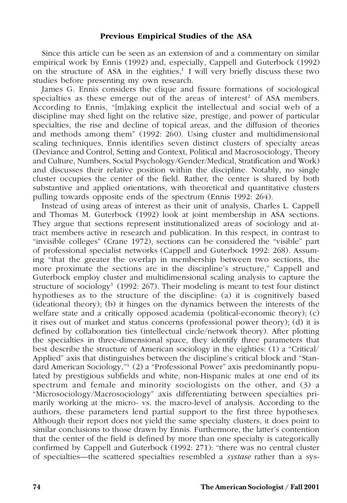## **Previous Empirical Studies of the ASA**

Since this article can be seen as an extension of and a commentary on similar empirical work by Ennis (1992) and, especially, Cappell and Guterbock (1992) on the structure of ASA in the eighties, $\frac{1}{1}$  I will very briefly discuss these two studies before presenting my own research.

James G. Ennis considers the clique and fissure formations of sociological specialties as these emerge out of the areas of interest<sup>2</sup> of ASA members. According to Ennis, "[m]aking explicit the intellectual and social web of a discipline may shed light on the relative size, prestige, and power of particular specialties, the rise and decline of topical areas, and the diffusion of theories and methods among them" (1992: 260). Using cluster and multidimensional scaling techniques, Ennis identifies seven distinct clusters of specialty areas (Deviance and Control, Setting and Context, Political and Macrosociology, Theory and Culture, Numbers, Social Psychology/Gender/Medical, Stratification and Work) and discusses their relative position within the discipline. Notably, no single cluster occupies the center of the field. Rather, the center is shared by both substantive and applied orientations, with theoretical and quantitative clusters pulling towards opposite ends of the spectrum (Ennis 1992: 264).

Instead of using areas of interest as their unit of analysis, Charles L. Cappell and Thomas M. Guterbock (1992) look at joint membership in ASA sections. They argue that sections represent institutionalized areas of sociology and attract members active in research and publication. In this respect, in contrast to "invisible colleges" (Crane 1972), sections can be considered the "visible" part of professional specialist networks (Cappell and Guterbock 1992: 268). Assuming "that the greater the overlap in membership between two sections, the more proximate the sections are in the discipline's structure," Cappell and Guterbock employ cluster and multidimensional scaling analysis to capture the structure of sociology<sup>3</sup> (1992: 267). Their modeling is meant to test four distinct hypotheses as to the structure of the discipline: (a) it is cognitively based (ideational theory); (b) it hinges on the dynamics between the interests of the welfare state and a critically opposed academia (political-economic theory); (c) it rises out of market and status concerns (professional power theory); (d) it is defined by collaboration ties (intellectual circle/network theory). After plotting the specialties in three-dimensional space, they identify three parameters that best describe the structure of American sociology in the eighties: (1) a "Critical/ Applied" axis that distinguishes between the discipline's critical block and "Standard American Sociology,"<sup>4</sup> (2) a "Professional Power" axis predominantly populated by prestigious subfields and white, non-Hispanic males at one end of its spectrum and female and minority sociologists on the other, and (3) a "Microsociology/Macrosociology" axis differentiating between specialties primarily working at the micro- vs. the macro-level of analysis. According to the authors, these parameters lend partial support to the first three hypotheses. Although their report does not yield the same specialty clusters, it does point to similar conclusions to those drawn by Ennis. Furthermore, the latter's contention that the center of the field is defined by more than one specialty is categorically confirmed by Cappell and Guterbock (1992: 271): "there was no central cluster of specialties—the scattered specialties resembled a *systase* rather than a sys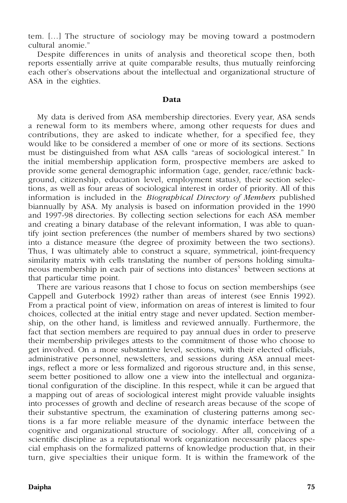tem. […] The structure of sociology may be moving toward a postmodern cultural anomie."

Despite differences in units of analysis and theoretical scope then, both reports essentially arrive at quite comparable results, thus mutually reinforcing each other's observations about the intellectual and organizational structure of ASA in the eighties.

#### **Data**

My data is derived from ASA membership directories. Every year, ASA sends a renewal form to its members where, among other requests for dues and contributions, they are asked to indicate whether, for a specified fee, they would like to be considered a member of one or more of its sections. Sections must be distinguished from what ASA calls "areas of sociological interest." In the initial membership application form, prospective members are asked to provide some general demographic information (age, gender, race/ethnic background, citizenship, education level, employment status), their section selections, as well as four areas of sociological interest in order of priority. All of this information is included in the *Biographical Directory of Members* published biannually by ASA. My analysis is based on information provided in the 1990 and 1997-98 directories. By collecting section selections for each ASA member and creating a binary database of the relevant information, I was able to quantify joint section preferences (the number of members shared by two sections) into a distance measure (the degree of proximity between the two sections). Thus, I was ultimately able to construct a square, symmetrical, joint-frequency similarity matrix with cells translating the number of persons holding simultaneous membership in each pair of sections into distances<sup>5</sup> between sections at that particular time point.

There are various reasons that I chose to focus on section memberships (see Cappell and Guterbock 1992) rather than areas of interest (see Ennis 1992). From a practical point of view, information on areas of interest is limited to four choices, collected at the initial entry stage and never updated. Section membership, on the other hand, is limitless and reviewed annually. Furthermore, the fact that section members are required to pay annual dues in order to preserve their membership privileges attests to the commitment of those who choose to get involved. On a more substantive level, sections, with their elected officials, administrative personnel, newsletters, and sessions during ASA annual meetings, reflect a more or less formalized and rigorous structure and, in this sense, seem better positioned to allow one a view into the intellectual and organizational configuration of the discipline. In this respect, while it can be argued that a mapping out of areas of sociological interest might provide valuable insights into processes of growth and decline of research areas because of the scope of their substantive spectrum, the examination of clustering patterns among sections is a far more reliable measure of the dynamic interface between the cognitive and organizational structure of sociology. After all, conceiving of a scientific discipline as a reputational work organization necessarily places special emphasis on the formalized patterns of knowledge production that, in their turn, give specialties their unique form. It is within the framework of the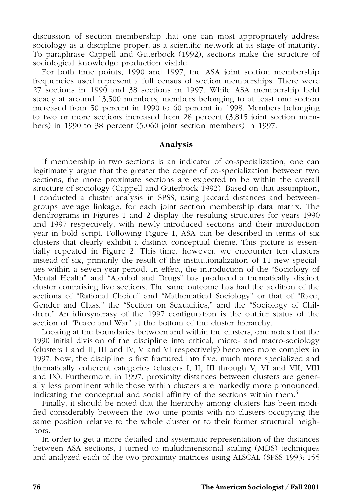discussion of section membership that one can most appropriately address sociology as a discipline proper, as a scientific network at its stage of maturity. To paraphrase Cappell and Guterbock (1992), sections make the structure of sociological knowledge production visible.

For both time points, 1990 and 1997, the ASA joint section membership frequencies used represent a full census of section memberships. There were 27 sections in 1990 and 38 sections in 1997. While ASA membership held steady at around 13,500 members, members belonging to at least one section increased from 50 percent in 1990 to 60 percent in 1998. Members belonging to two or more sections increased from 28 percent (3,815 joint section members) in 1990 to 38 percent (5,060 joint section members) in 1997.

#### **Analysis**

If membership in two sections is an indicator of co-specialization, one can legitimately argue that the greater the degree of co-specialization between two sections, the more proximate sections are expected to be within the overall structure of sociology (Cappell and Guterbock 1992). Based on that assumption, I conducted a cluster analysis in SPSS, using Jaccard distances and betweengroups average linkage, for each joint section membership data matrix. The dendrograms in Figures 1 and 2 display the resulting structures for years 1990 and 1997 respectively, with newly introduced sections and their introduction year in bold script. Following Figure 1, ASA can be described in terms of six clusters that clearly exhibit a distinct conceptual theme. This picture is essentially repeated in Figure 2. This time, however, we encounter ten clusters instead of six, primarily the result of the institutionalization of 11 new specialties within a seven-year period. In effect, the introduction of the "Sociology of Mental Health" and "Alcohol and Drugs" has produced a thematically distinct cluster comprising five sections. The same outcome has had the addition of the sections of "Rational Choice" and "Mathematical Sociology" or that of "Race, Gender and Class," the "Section on Sexualities," and the "Sociology of Children." An idiosyncrasy of the 1997 configuration is the outlier status of the section of "Peace and War" at the bottom of the cluster hierarchy.

Looking at the boundaries between and within the clusters, one notes that the 1990 initial division of the discipline into critical, micro- and macro-sociology (clusters I and II, III and IV, V and VI respectively) becomes more complex in 1997. Now, the discipline is first fractured into five, much more specialized and thematically coherent categories (clusters I, II, III through V, VI and VII, VIII and IX). Furthermore, in 1997, proximity distances between clusters are generally less prominent while those within clusters are markedly more pronounced, indicating the conceptual and social affinity of the sections within them.<sup>6</sup>

Finally, it should be noted that the hierarchy among clusters has been modified considerably between the two time points with no clusters occupying the same position relative to the whole cluster or to their former structural neighbors.

In order to get a more detailed and systematic representation of the distances between ASA sections, I turned to multidimensional scaling (MDS) techniques and analyzed each of the two proximity matrices using ALSCAL (SPSS 1993: 155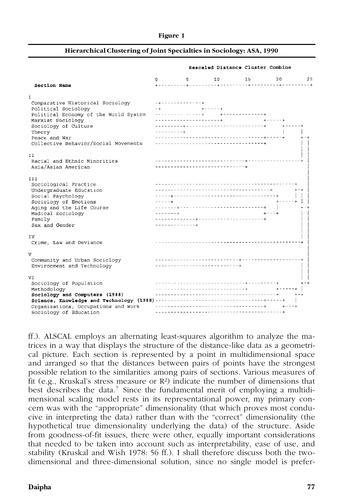#### **Figure 1**

#### **Hierarchical Clustering of Joint Specialties in Sociology: ASA, 1990**

|                                       | 0             | $5 - 1$                         | 10                               | 15                                     | 20        | 25      |  |  |
|---------------------------------------|---------------|---------------------------------|----------------------------------|----------------------------------------|-----------|---------|--|--|
| Section Name                          |               |                                 |                                  |                                        |           |         |  |  |
| T                                     |               |                                 |                                  |                                        |           |         |  |  |
| Comparative Historical Sociology      |               | ----------------                |                                  |                                        |           |         |  |  |
| Political Sociology                   | $-4$          |                                 | $+ - - - - - +$                  |                                        |           |         |  |  |
| Political Economy of the World System |               |                                 |                                  |                                        |           |         |  |  |
| Marxist Sociology                     |               | ---------------------- <b>-</b> |                                  |                                        |           |         |  |  |
| Sociology of Culture                  |               |                                 |                                  | -------------------------------------- |           |         |  |  |
| Theory                                |               |                                 |                                  |                                        |           |         |  |  |
| Peace and War                         |               |                                 |                                  |                                        |           |         |  |  |
| Collective Behavior/Social Movements  |               |                                 |                                  |                                        |           |         |  |  |
| 11                                    |               |                                 |                                  |                                        |           |         |  |  |
| Racial and Ethnic Minorities          |               |                                 |                                  |                                        |           |         |  |  |
| Asia/Asian American                   |               |                                 | -------------------------------- |                                        |           |         |  |  |
| <b>III</b>                            |               |                                 |                                  |                                        |           |         |  |  |
| Sociological Practice                 |               |                                 |                                  |                                        |           |         |  |  |
| Undergraduate Education               |               |                                 |                                  |                                        |           | $+ - +$ |  |  |
| Social Psychology                     |               |                                 |                                  |                                        |           |         |  |  |
| Sociology of Emotions                 | $- - - - - +$ |                                 |                                  |                                        | +-----+ I |         |  |  |
| Aging and the Life Course             |               |                                 |                                  |                                        |           |         |  |  |
| Medical Sociology                     |               |                                 |                                  |                                        |           |         |  |  |
| Family                                |               |                                 |                                  |                                        |           |         |  |  |
| Sex and Gender                        |               | ------------- <b>-</b>          |                                  |                                        |           |         |  |  |
| ΙV                                    |               |                                 |                                  |                                        |           |         |  |  |
| Crime, Law and Deviance               |               |                                 |                                  |                                        |           |         |  |  |
| v                                     |               |                                 |                                  |                                        |           |         |  |  |
| Community and Urban Sociology         |               |                                 |                                  |                                        |           |         |  |  |
| Environment and Technology            |               |                                 | ------------------------------   |                                        |           |         |  |  |
| VI                                    |               |                                 |                                  |                                        |           |         |  |  |
| Sociology of Population               |               |                                 |                                  |                                        |           | $+ - +$ |  |  |
| Methodology                           |               |                                 |                                  |                                        |           |         |  |  |
| Sociology and Computers (1988)        |               |                                 |                                  |                                        |           | $+ - +$ |  |  |
|                                       |               |                                 |                                  |                                        |           |         |  |  |
| Organizations, Occupations and Work   |               |                                 |                                  |                                        |           |         |  |  |
| Sociology of Education                |               |                                 |                                  |                                        |           |         |  |  |

Rescaled Distance Cluster Combine

ff.). ALSCAL employs an alternating least-squares algorithm to analyze the matrices in a way that displays the structure of the distance-like data as a geometrical picture. Each section is represented by a point in multidimensional space and arranged so that the distances between pairs of points have the strongest possible relation to the similarities among pairs of sections. Various measures of fit (e.g., Kruskal's stress measure or  $\mathbb{R}^2$ ) indicate the number of dimensions that best describes the data.<sup>7</sup> Since the fundamental merit of employing a multidimensional scaling model rests in its representational power, my primary concern was with the "appropriate" dimensionality (that which proves most conducive in interpreting the data) rather than with the "correct" dimensionality (the hypothetical true dimensionality underlying the data) of the structure. Aside from goodness-of-fit issues, there were other, equally important considerations that needed to be taken into account such as interpretability, ease of use, and stability (Kruskal and Wish 1978: 56 ff.). I shall therefore discuss both the twodimensional and three-dimensional solution, since no single model is prefer-

#### **Daipha 77**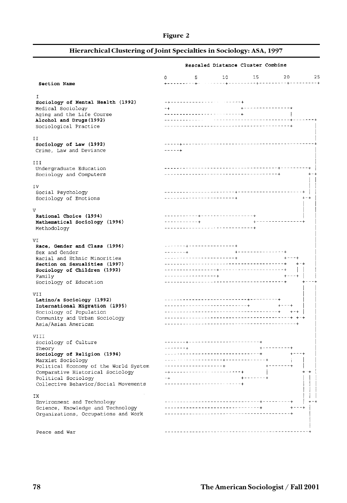## **Figure 2**

## **Hierarchical Clustering of Joint Specialties in Sociology: ASA, 1997**

|                                                      | Rescaled Distance Cluster Combine                       |             |  |  |  |
|------------------------------------------------------|---------------------------------------------------------|-------------|--|--|--|
|                                                      | $5 -$<br>10<br>15<br>0                                  | 20<br>25    |  |  |  |
| Section Name                                         |                                                         |             |  |  |  |
| T.                                                   |                                                         |             |  |  |  |
| Sociology of Mental Health (1992)                    | -------------------------                               |             |  |  |  |
| Medical Sociology                                    | +---------------+<br>$-+$                               |             |  |  |  |
| Aging and the Life Course                            |                                                         |             |  |  |  |
| Alcohol and Drugs (1992)<br>Sociological Practice    |                                                         |             |  |  |  |
|                                                      |                                                         |             |  |  |  |
| ΙI<br>Sociology of Law (1992)                        |                                                         |             |  |  |  |
| Crime, Law and Deviance                              |                                                         |             |  |  |  |
| ИI                                                   |                                                         |             |  |  |  |
| Undergraduate Education                              |                                                         |             |  |  |  |
| Sociology and Computers                              |                                                         | $+ - +$     |  |  |  |
| ΙV                                                   |                                                         |             |  |  |  |
| Social Psychology                                    |                                                         |             |  |  |  |
| Sociology of Emotions                                | ------------------------                                | $+ - +$     |  |  |  |
| V                                                    |                                                         |             |  |  |  |
| Rational Choice (1994)                               | ----------- <del>-</del> ----------------- <del>-</del> |             |  |  |  |
| Mathematical Sociology (1994)                        |                                                         |             |  |  |  |
| Methodology                                          |                                                         |             |  |  |  |
| VI                                                   |                                                         |             |  |  |  |
| Race, Gender and Class (1996)                        |                                                         |             |  |  |  |
| Sex and Gender<br>Racial and Ethnic Minorities       | ------------------------+                               | $+ - - - +$ |  |  |  |
| Section on Sexualities (1997)                        |                                                         | $+ - +$     |  |  |  |
| Sociology of Children (1992)                         |                                                         |             |  |  |  |
| Family                                               | ---------------- <b>-</b>                               | $+ - - - +$ |  |  |  |
| Sociology of Education                               |                                                         |             |  |  |  |
| VII                                                  |                                                         |             |  |  |  |
| Latino/a Sociology (1992)                            |                                                         |             |  |  |  |
| International Migration (1995)                       | ______________________________                          | $+ - - +$   |  |  |  |
| Sociology of Population                              |                                                         |             |  |  |  |
| Community and Urban Sociology<br>Asia/Asian American |                                                         |             |  |  |  |
|                                                      |                                                         |             |  |  |  |
| VIII                                                 | __________________________________                      |             |  |  |  |
| Sociology of Culture<br>Theory                       | $\frac{1}{2}$<br>$+ - - - - - - - - +$                  |             |  |  |  |
| Sociology of Religion (1994)                         | ____________________________________                    | $+ - - - +$ |  |  |  |
| Marxist Sociology                                    |                                                         |             |  |  |  |
| Political Economy of the World System                | -------------------+                                    |             |  |  |  |
| Comparative Historical Sociology                     | -+------------------------                              | $+ +$       |  |  |  |
| Political Sociology                                  | $- +$<br>- + - - - - - - - +                            |             |  |  |  |
| Collective Behavior/Social Movements                 | --------------------------                              |             |  |  |  |
| ΙX                                                   |                                                         |             |  |  |  |
| Environment and Technology                           |                                                         | $+ - - +$   |  |  |  |
| Science, Knowledge and Technology                    |                                                         |             |  |  |  |
| Organizations, Occupations and Work                  |                                                         |             |  |  |  |
|                                                      | _______________________<br>- - - - - - - - - - - -      |             |  |  |  |
| Peace and War                                        |                                                         |             |  |  |  |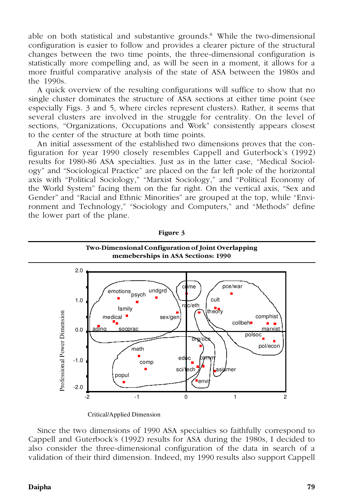able on both statistical and substantive grounds. $8\text{ }$  While the two-dimensional configuration is easier to follow and provides a clearer picture of the structural changes between the two time points, the three-dimensional configuration is statistically more compelling and, as will be seen in a moment, it allows for a more fruitful comparative analysis of the state of ASA between the 1980s and the 1990s.

A quick overview of the resulting configurations will suffice to show that no single cluster dominates the structure of ASA sections at either time point (see especially Figs. 3 and 5, where circles represent clusters). Rather, it seems that several clusters are involved in the struggle for centrality. On the level of sections, "Organizations, Occupations and Work" consistently appears closest to the center of the structure at both time points.

An initial assessment of the established two dimensions proves that the configuration for year 1990 closely resembles Cappell and Guterbock's (1992) results for 1980-86 ASA specialties. Just as in the latter case, "Medical Sociology" and "Sociological Practice" are placed on the far left pole of the horizontal axis with "Political Sociology," "Marxist Sociology," and "Political Economy of the World System" facing them on the far right. On the vertical axis, "Sex and Gender" and "Racial and Ethnic Minorities" are grouped at the top, while "Environment and Technology," "Sociology and Computers," and "Methods" define the lower part of the plane.



**Figure 3**

Critical/Applied Dimension

Since the two dimensions of 1990 ASA specialties so faithfully correspond to Cappell and Guterbock's (1992) results for ASA during the 1980s, I decided to also consider the three-dimensional configuration of the data in search of a validation of their third dimension. Indeed, my 1990 results also support Cappell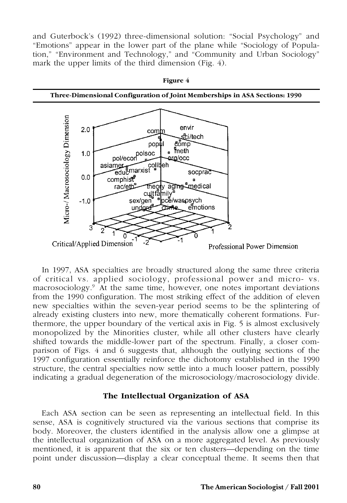and Guterbock's (1992) three-dimensional solution: "Social Psychology" and "Emotions" appear in the lower part of the plane while "Sociology of Population," "Environment and Technology," and "Community and Urban Sociology" mark the upper limits of the third dimension (Fig. 4).



In 1997, ASA specialties are broadly structured along the same three criteria of critical vs. applied sociology, professional power and micro- vs. macrosociology.<sup>9</sup> At the same time, however, one notes important deviations from the 1990 configuration. The most striking effect of the addition of eleven new specialties within the seven-year period seems to be the splintering of already existing clusters into new, more thematically coherent formations. Furthermore, the upper boundary of the vertical axis in Fig. 5 is almost exclusively monopolized by the Minorities cluster, while all other clusters have clearly shifted towards the middle-lower part of the spectrum. Finally, a closer comparison of Figs. 4 and 6 suggests that, although the outlying sections of the 1997 configuration essentially reinforce the dichotomy established in the 1990 structure, the central specialties now settle into a much looser pattern, possibly indicating a gradual degeneration of the microsociology/macrosociology divide.

## **The Intellectual Organization of ASA**

Each ASA section can be seen as representing an intellectual field. In this sense, ASA is cognitively structured via the various sections that comprise its body. Moreover, the clusters identified in the analysis allow one a glimpse at the intellectual organization of ASA on a more aggregated level. As previously mentioned, it is apparent that the six or ten clusters—depending on the time point under discussion—display a clear conceptual theme. It seems then that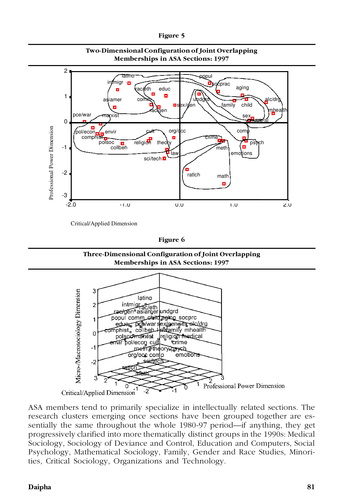

**Two-Dimensional Configuration of Joint Overlapping Memberships in ASA Sections: 1997**

Critical/Applied Dimension

**Figure 6**

**Three-Dimensional Configuration of Joint Overlapping Memberships in ASA Sections: 1997**



ASA members tend to primarily specialize in intellectually related sections. The research clusters emerging once sections have been grouped together are essentially the same throughout the whole 1980-97 period—if anything, they get progressively clarified into more thematically distinct groups in the 1990s: Medical Sociology, Sociology of Deviance and Control, Education and Computers, Social Psychology, Mathematical Sociology, Family, Gender and Race Studies, Minorities, Critical Sociology, Organizations and Technology.

## **Daipha 81**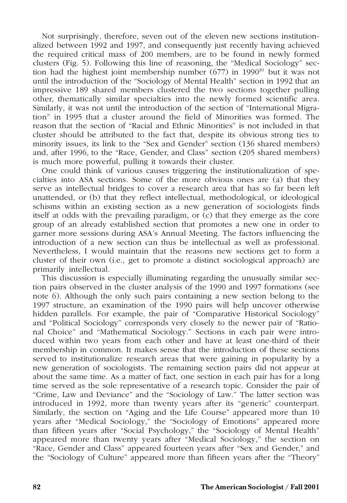Not surprisingly, therefore, seven out of the eleven new sections institutionalized between 1992 and 1997, and consequently just recently having achieved the required critical mass of 200 members, are to be found in newly formed clusters (Fig. 5). Following this line of reasoning, the "Medical Sociology" section had the highest joint membership number  $(677)$  in 1990<sup>10</sup> but it was not until the introduction of the "Sociology of Mental Health" section in 1992 that an impressive 189 shared members clustered the two sections together pulling other, thematically similar specialties into the newly formed scientific area. Similarly, it was not until the introduction of the section of "International Migration" in 1995 that a cluster around the field of Minorities was formed. The reason that the section of "Racial and Ethnic Minorities" is not included in that cluster should be attributed to the fact that, despite its obvious strong ties to minority issues, its link to the "Sex and Gender" section (136 shared members) and, after 1996, to the "Race, Gender, and Class" section (205 shared members) is much more powerful, pulling it towards their cluster.

One could think of various causes triggering the institutionalization of specialties into ASA sections. Some of the more obvious ones are (a) that they serve as intellectual bridges to cover a research area that has so far been left unattended, or (b) that they reflect intellectual, methodological, or ideological schisms within an existing section as a new generation of sociologists finds itself at odds with the prevailing paradigm, or (c) that they emerge as the core group of an already established section that promotes a new one in order to garner more sessions during ASA's Annual Meeting. The factors influencing the introduction of a new section can thus be intellectual as well as professional. Nevertheless, I would maintain that the reasons new sections get to form a cluster of their own (i.e., get to promote a distinct sociological approach) are primarily intellectual.

This discussion is especially illuminating regarding the unusually similar section pairs observed in the cluster analysis of the 1990 and 1997 formations (see note 6). Although the only such pairs containing a new section belong to the 1997 structure, an examination of the 1990 pairs will help uncover otherwise hidden parallels. For example, the pair of "Comparative Historical Sociology" and "Political Sociology" corresponds very closely to the newer pair of "Rational Choice" and "Mathematical Sociology." Sections in each pair were introduced within two years from each other and have at least one-third of their membership in common. It makes sense that the introduction of these sections served to institutionalize research areas that were gaining in popularity by a new generation of sociologists. The remaining section pairs did not appear at about the same time. As a matter of fact, one section in each pair has for a long time served as the sole representative of a research topic. Consider the pair of "Crime, Law and Deviance" and the "Sociology of Law." The latter section was introduced in 1992, more than twenty years after its "generic" counterpart. Similarly, the section on "Aging and the Life Course" appeared more than 10 years after "Medical Sociology," the "Sociology of Emotions" appeared more than fifteen years after "Social Psychology," the "Sociology of Mental Health" appeared more than twenty years after "Medical Sociology," the section on "Race, Gender and Class" appeared fourteen years after "Sex and Gender," and the "Sociology of Culture" appeared more than fifteen years after the "Theory"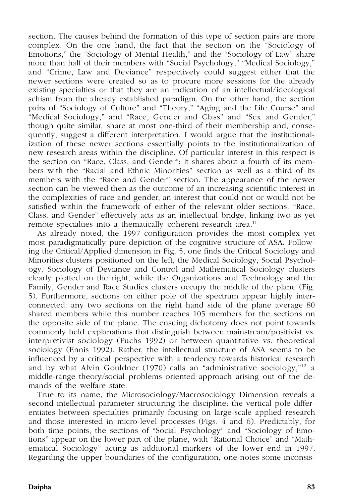section. The causes behind the formation of this type of section pairs are more complex. On the one hand, the fact that the section on the "Sociology of Emotions," the "Sociology of Mental Health," and the "Sociology of Law" share more than half of their members with "Social Psychology," "Medical Sociology," and "Crime, Law and Deviance" respectively could suggest either that the newer sections were created so as to procure more sessions for the already existing specialties or that they are an indication of an intellectual/ideological schism from the already established paradigm. On the other hand, the section pairs of "Sociology of Culture" and "Theory," "Aging and the Life Course" and "Medical Sociology," and "Race, Gender and Class" and "Sex and Gender," though quite similar, share at most one-third of their membership and, consequently, suggest a different interpretation. I would argue that the institutionalization of these newer sections essentially points to the institutionalization of new research areas within the discipline. Of particular interest in this respect is the section on "Race, Class, and Gender": it shares about a fourth of its members with the "Racial and Ethnic Minorities" section as well as a third of its members with the "Race and Gender" section. The appearance of the newer section can be viewed then as the outcome of an increasing scientific interest in the complexities of race and gender, an interest that could not or would not be satisfied within the framework of either of the relevant older sections. "Race, Class, and Gender" effectively acts as an intellectual bridge, linking two as yet remote specialties into a thematically coherent research area.<sup>11</sup>

As already noted, the 1997 configuration provides the most complex yet most paradigmatically pure depiction of the cognitive structure of ASA. Following the Critical/Applied dimension in Fig. 5, one finds the Critical Sociology and Minorities clusters positioned on the left, the Medical Sociology, Social Psychology, Sociology of Deviance and Control and Mathematical Sociology clusters clearly plotted on the right, while the Organizations and Technology and the Family, Gender and Race Studies clusters occupy the middle of the plane (Fig. 5). Furthermore, sections on either pole of the spectrum appear highly interconnected: any two sections on the right hand side of the plane average 80 shared members while this number reaches 105 members for the sections on the opposite side of the plane. The ensuing dichotomy does not point towards commonly held explanations that distinguish between mainstream/positivist vs. interpretivist sociology (Fuchs 1992) or between quantitative vs. theoretical sociology (Ennis 1992). Rather, the intellectual structure of ASA seems to be influenced by a critical perspective with a tendency towards historical research and by what Alvin Gouldner (1970) calls an "administrative sociology,"<sup>12</sup> a middle-range theory/social problems oriented approach arising out of the demands of the welfare state.

True to its name, the Microsociology/Macrosociology Dimension reveals a second intellectual parameter structuring the discipline: the vertical pole differentiates between specialties primarily focusing on large-scale applied research and those interested in micro-level processes (Figs. 4 and 6). Predictably, for both time points, the sections of "Social Psychology" and "Sociology of Emotions" appear on the lower part of the plane, with "Rational Choice" and "Mathematical Sociology" acting as additional markers of the lower end in 1997. Regarding the upper boundaries of the configuration, one notes some inconsis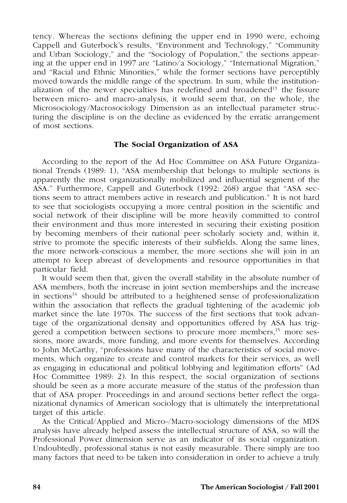tency. Whereas the sections defining the upper end in 1990 were, echoing Cappell and Guterbock's results, "Environment and Technology," "Community and Urban Sociology," and the "Sociology of Population," the sections appearing at the upper end in 1997 are "Latino/a Sociology," "International Migration," and "Racial and Ethnic Minorities," while the former sections have perceptibly moved towards the middle range of the spectrum. In sum, while the institutionalization of the newer specialties has redefined and broadened<sup>13</sup> the fissure between micro- and macro-analysis, it would seem that, on the whole, the Microsociology/Macrosociology Dimension as an intellectual parameter structuring the discipline is on the decline as evidenced by the erratic arrangement of most sections.

## **The Social Organization of ASA**

According to the report of the Ad Hoc Committee on ASA Future Organizational Trends (1989: 1), "ASA membership that belongs to multiple sections is apparently the most organizationally mobilized and influential segment of the ASA." Furthermore, Cappell and Guterbock (1992: 268) argue that "ASA sections seem to attract members active in research and publication." It is not hard to see that sociologists occupying a more central position in the scientific and social network of their discipline will be more heavily committed to control their environment and thus more interested in securing their existing position by becoming members of their national peer scholarly society and, within it, strive to promote the specific interests of their subfields. Along the same lines, the more network-conscious a member, the more sections she will join in an attempt to keep abreast of developments and resource opportunities in that particular field.

It would seem then that, given the overall stability in the absolute number of ASA members, both the increase in joint section memberships and the increase in sections<sup>14</sup> should be attributed to a heightened sense of professionalization within the association that reflects the gradual tightening of the academic job market since the late 1970s. The success of the first sections that took advantage of the organizational density and opportunities offered by ASA has triggered a competition between sections to procure more members, $^{15}$  more sessions, more awards, more funding, and more events for themselves. According to John McCarthy, "professions have many of the characteristics of social movements, which organize to create and control markets for their services, as well as engaging in educational and political lobbying and legitimation efforts" (Ad Hoc Committee 1989: 2). In this respect, the social organization of sections should be seen as a more accurate measure of the status of the profession than that of ASA proper. Proceedings in and around sections better reflect the organizational dynamics of American sociology that is ultimately the interpretational target of this article.

As the Critical/Applied and Micro-/Macro-sociology dimensions of the MDS analysis have already helped assess the intellectual structure of ASA, so will the Professional Power dimension serve as an indicator of its social organization. Undoubtedly, professional status is not easily measurable. There simply are too many factors that need to be taken into consideration in order to achieve a truly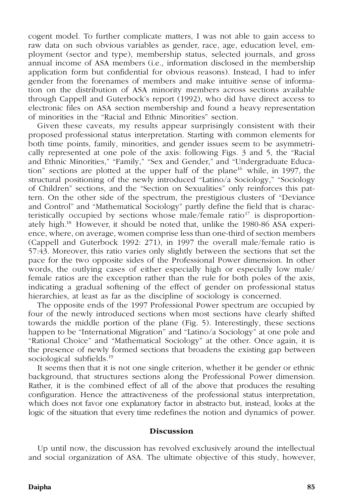cogent model. To further complicate matters, I was not able to gain access to raw data on such obvious variables as gender, race, age, education level, employment (sector and type), membership status, selected journals, and gross annual income of ASA members (i.e., information disclosed in the membership application form but confidential for obvious reasons). Instead, I had to infer gender from the forenames of members and make intuitive sense of information on the distribution of ASA minority members across sections available through Cappell and Guterbock's report (1992), who did have direct access to electronic files on ASA section membership and found a heavy representation of minorities in the "Racial and Ethnic Minorities" section.

Given these caveats, my results appear surprisingly consistent with their proposed professional status interpretation. Starting with common elements for both time points, family, minorities, and gender issues seem to be asymmetrically represented at one pole of the axis: following Figs. 3 and 5, the "Racial and Ethnic Minorities," "Family," "Sex and Gender," and "Undergraduate Education" sections are plotted at the upper half of the plane<sup>16</sup> while, in 1997, the structural positioning of the newly introduced "Latino/a Sociology," "Sociology of Children" sections, and the "Section on Sexualities" only reinforces this pattern. On the other side of the spectrum, the prestigious clusters of "Deviance and Control" and "Mathematical Sociology" partly define the field that is characteristically occupied by sections whose male/female ratio<sup>17</sup> is disproportionately high.<sup>18</sup> However, it should be noted that, unlike the 1980-86 ASA experience, where, on average, women comprise less than one-third of section members (Cappell and Guterbock 1992: 271), in 1997 the overall male/female ratio is 57:43. Moreover, this ratio varies only slightly between the sections that set the pace for the two opposite sides of the Professional Power dimension. In other words, the outlying cases of either especially high or especially low male/ female ratios are the exception rather than the rule for both poles of the axis, indicating a gradual softening of the effect of gender on professional status hierarchies, at least as far as the discipline of sociology is concerned.

The opposite ends of the 1997 Professional Power spectrum are occupied by four of the newly introduced sections when most sections have clearly shifted towards the middle portion of the plane (Fig. 5). Interestingly, these sections happen to be "International Migration" and "Latino/a Sociology" at one pole and "Rational Choice" and "Mathematical Sociology" at the other. Once again, it is the presence of newly formed sections that broadens the existing gap between sociological subfields.<sup>19</sup>

It seems then that it is not one single criterion, whether it be gender or ethnic background, that structures sections along the Professional Power dimension. Rather, it is the combined effect of all of the above that produces the resulting configuration. Hence the attractiveness of the professional status interpretation, which does not favor one explanatory factor in abstracto but, instead, looks at the logic of the situation that every time redefines the notion and dynamics of power.

#### **Discussion**

Up until now, the discussion has revolved exclusively around the intellectual and social organization of ASA. The ultimate objective of this study, however,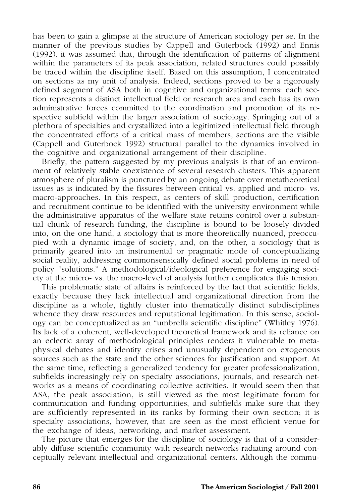has been to gain a glimpse at the structure of American sociology per se. In the manner of the previous studies by Cappell and Guterbock (1992) and Ennis (1992), it was assumed that, through the identification of patterns of alignment within the parameters of its peak association, related structures could possibly be traced within the discipline itself. Based on this assumption, I concentrated on sections as my unit of analysis. Indeed, sections proved to be a rigorously defined segment of ASA both in cognitive and organizational terms: each section represents a distinct intellectual field or research area and each has its own administrative forces committed to the coordination and promotion of its respective subfield within the larger association of sociology. Springing out of a plethora of specialties and crystallized into a legitimized intellectual field through the concentrated efforts of a critical mass of members, sections are the visible (Cappell and Guterbock 1992) structural parallel to the dynamics involved in the cognitive and organizational arrangement of their discipline.

Briefly, the pattern suggested by my previous analysis is that of an environment of relatively stable coexistence of several research clusters. This apparent atmosphere of pluralism is punctured by an ongoing debate over metatheoretical issues as is indicated by the fissures between critical vs. applied and micro- vs. macro-approaches. In this respect, as centers of skill production, certification and recruitment continue to be identified with the university environment while the administrative apparatus of the welfare state retains control over a substantial chunk of research funding, the discipline is bound to be loosely divided into, on the one hand, a sociology that is more theoretically nuanced, preoccupied with a dynamic image of society, and, on the other, a sociology that is primarily geared into an instrumental or pragmatic mode of conceptualizing social reality, addressing commonsensically defined social problems in need of policy "solutions." A methodological/ideological preference for engaging society at the micro- vs. the macro-level of analysis further complicates this tension.

This problematic state of affairs is reinforced by the fact that scientific fields, exactly because they lack intellectual and organizational direction from the discipline as a whole, tightly cluster into thematically distinct subdisciplines whence they draw resources and reputational legitimation. In this sense, sociology can be conceptualized as an "umbrella scientific discipline" (Whitley 1976). Its lack of a coherent, well-developed theoretical framework and its reliance on an eclectic array of methodological principles renders it vulnerable to metaphysical debates and identity crises and unusually dependent on exogenous sources such as the state and the other sciences for justification and support. At the same time, reflecting a generalized tendency for greater professionalization, subfields increasingly rely on specialty associations, journals, and research networks as a means of coordinating collective activities. It would seem then that ASA, the peak association, is still viewed as the most legitimate forum for communication and funding opportunities, and subfields make sure that they are sufficiently represented in its ranks by forming their own section; it is specialty associations, however, that are seen as the most efficient venue for the exchange of ideas, networking, and market assessment.

The picture that emerges for the discipline of sociology is that of a considerably diffuse scientific community with research networks radiating around conceptually relevant intellectual and organizational centers. Although the commu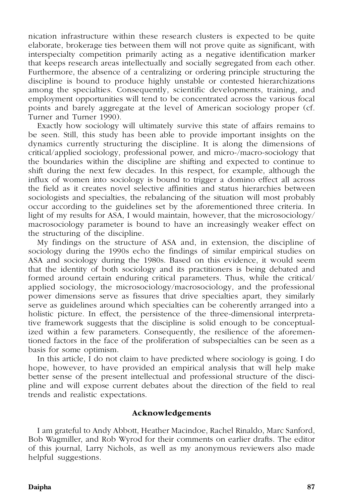nication infrastructure within these research clusters is expected to be quite elaborate, brokerage ties between them will not prove quite as significant, with interspecialty competition primarily acting as a negative identification marker that keeps research areas intellectually and socially segregated from each other. Furthermore, the absence of a centralizing or ordering principle structuring the discipline is bound to produce highly unstable or contested hierarchizations among the specialties. Consequently, scientific developments, training, and employment opportunities will tend to be concentrated across the various focal points and barely aggregate at the level of American sociology proper (cf. Turner and Turner 1990).

Exactly how sociology will ultimately survive this state of affairs remains to be seen. Still, this study has been able to provide important insights on the dynamics currently structuring the discipline. It is along the dimensions of critical/applied sociology, professional power, and micro-/macro-sociology that the boundaries within the discipline are shifting and expected to continue to shift during the next few decades. In this respect, for example, although the influx of women into sociology is bound to trigger a domino effect all across the field as it creates novel selective affinities and status hierarchies between sociologists and specialties, the rebalancing of the situation will most probably occur according to the guidelines set by the aforementioned three criteria. In light of my results for ASA, I would maintain, however, that the microsociology/ macrosociology parameter is bound to have an increasingly weaker effect on the structuring of the discipline.

My findings on the structure of ASA and, in extension, the discipline of sociology during the 1990s echo the findings of similar empirical studies on ASA and sociology during the 1980s. Based on this evidence, it would seem that the identity of both sociology and its practitioners is being debated and formed around certain enduring critical parameters. Thus, while the critical/ applied sociology, the microsociology/macrosociology, and the professional power dimensions serve as fissures that drive specialties apart, they similarly serve as guidelines around which specialties can be coherently arranged into a holistic picture. In effect, the persistence of the three-dimensional interpretative framework suggests that the discipline is solid enough to be conceptualized within a few parameters. Consequently, the resilience of the aforementioned factors in the face of the proliferation of subspecialties can be seen as a basis for some optimism.

In this article, I do not claim to have predicted where sociology is going. I do hope, however, to have provided an empirical analysis that will help make better sense of the present intellectual and professional structure of the discipline and will expose current debates about the direction of the field to real trends and realistic expectations.

## **Acknowledgements**

I am grateful to Andy Abbott, Heather Macindoe, Rachel Rinaldo, Marc Sanford, Bob Wagmiller, and Rob Wyrod for their comments on earlier drafts. The editor of this journal, Larry Nichols, as well as my anonymous reviewers also made helpful suggestions.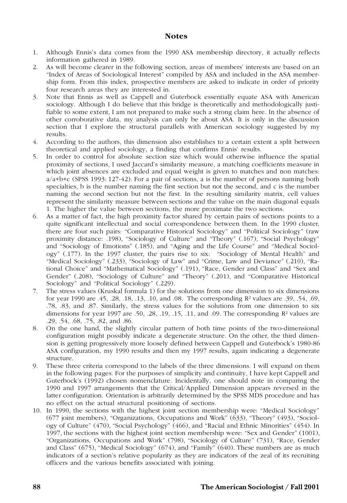#### **Notes**

- 1. Although Ennis's data comes from the 1990 ASA membership directory, it actually reflects information gathered in 1989.
- 2. As will become clearer in the following section, areas of members' interests are based on an "Index of Areas of Sociological Interest" compiled by ASA and included in the ASA membership form. From this index, prospective members are asked to indicate in order of priority four research areas they are interested in.
- 3. Note that Ennis as well as Cappell and Guterbock essentially equate ASA with American sociology. Although I do believe that this bridge is theoretically and methodologically justifiable to some extent, I am not prepared to make such a strong claim here. In the absence of other corroborative data, my analysis can only be about ASA. It is only in the discussion section that I explore the structural parallels with American sociology suggested by my results.
- 4. According to the authors, this dimension also establishes to a certain extent a split between theoretical and applied sociology, a finding that confirms Ennis' results.
- 5. In order to control for absolute section size which would otherwise influence the spatial proximity of sections, I used Jaccard's similarity measure, a matching coefficients measure in which joint absences are excluded and equal weight is given to matches and non matches:  $a/a+b+c$  (SPSS 1993: 127-42). For a pair of sections, a is the number of persons naming both specialties, b is the number naming the first section but not the second, and c is the number naming the second section but not the first. In the resulting similarity matrix, cell values represent the similarity measure between sections and the value on the main diagonal equals 1. The higher the value between sections, the more proximate the two sections.
- 6. As a matter of fact, the high proximity factor shared by certain pairs of sections points to a quite significant intellectual and social correspondence between them. In the 1990 cluster, there are four such pairs: "Comparative Historical Sociology" and "Political Sociology" (raw proximity distance: .198), "Sociology of Culture" and "Theory" (.167), "Social Psychology" and "Sociology of Emotions" (.185), and "Aging and the Life Course" and "Medical Sociology" (.177). In the 1997 cluster, the pairs rise to six: "Sociology of Mental Health" and "Medical Sociology" (.233), "Sociology of Law" and "Crime, Law and Deviance" (.210), "Rational Choice" and "Mathematical Sociology" (.191), "Race, Gender and Class" and "Sex and Gender" (.208), "Sociology of Culture" and "Theory" (.201), and "Comparative Historical Sociology" and "Political Sociology" (.229).
- 7. The stress values (Kruskal formula 1) for the solutions from one dimension to six dimensions for year 1990 are .45, .28, .18, .13, .10, and .08. The corresponding R² values are .39, .54, .69, .78, .83, and .87. Similarly, the stress values for the solutions from one dimension to six dimensions for year 1997 are .50, .28, .19, .15, .11, and .09. The corresponding  $\mathbb{R}^2$  values are .29, .54, .68, .75, .82, and .86.
- 8. On the one hand, the slightly circular pattern of both time points of the two-dimensional configuration might possibly indicate a degenerate structure. On the other, the third dimension is getting progressively more loosely defined between Cappell and Guterbock's 1980-86 ASA configuration, my 1990 results and then my 1997 results, again indicating a degenerate structure.
- 9. These three criteria correspond to the labels of the three dimensions. I will expand on them in the following pages. For the purposes of simplicity and continuity, I have kept Cappell and Guterbock's (1992) chosen nomenclature. Incidentally, one should note in comparing the 1990 and 1997 arrangements that the Critical/Applied Dimension appears reversed in the latter configuration. Orientation is arbitrarily determined by the SPSS MDS procedure and has no effect on the actual structural positioning of sections.
- 10. In 1990, the sections with the highest joint section membership were: "Medical Sociology" (677 joint members), "Organizations, Occupations and Work" (633), "Theory" (493), "Sociology of Culture" (470), "Social Psychology" (466), and "Racial and Ethnic Minorities" (454). In 1997, the sections with the highest joint section membership were: "Sex and Gender" (1001), "Organizations, Occupations and Work" (798), "Sociology of Culture" (731), "Race, Gender and Class" (675), "Medical Sociology" (674), and "Family" (640). These numbers are as much indicators of a section's relative popularity as they are indicators of the zeal of its recruiting officers and the various benefits associated with joining.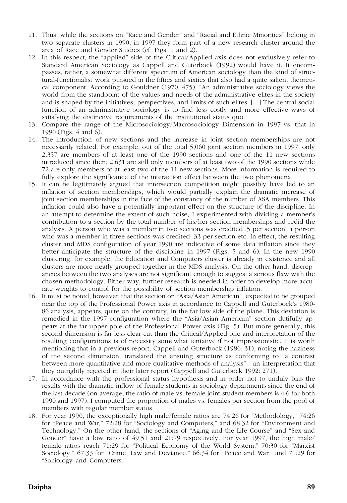- 11. Thus, while the sections on "Race and Gender" and "Racial and Ethnic Minorities" belong in two separate clusters in 1990, in 1997 they form part of a new research cluster around the area of Race and Gender Studies (cf. Figs. 1 and 2).
- 12. In this respect, the "applied" side of the Critical/Applied axis does not exclusively refer to Standard American Sociology as Cappell and Guterbock (1992) would have it. It encom passes, rather, a somewhat different spectrum of American sociology than the kind of structural-functionalist work pursued in the fifties and sixties that also had a quite salient theoretical component. According to Gouldner (1970: 475), "An administrative sociology views the world from the standpoint of the values and needs of the administrative elites in the society and is shaped by the initiatives, perspectives, and limits of such elites. […] The central social function of an administrative sociology is to find less costly and more effective ways of satisfying the distinctive requirements of the institutional status quo."
- 13. Compare the range of the Microsociology/Macrosociology Dimension in 1997 vs. that in 1990 (Figs. 4 and 6).
- 14. The introduction of new sections and the increase in joint section memberships are not necessarily related. For example, out of the total 5,060 joint section members in 1997, only 2,357 are members of at least one of the 1990 sections and one of the 11 new sections introduced since then; 2,631 are still only members of at least two of the 1990 sections while 72 are only members of at least two of the 11 new sections. More information is required to fully explore the significance of the interaction effect between the two phenomena.
- 15. It can be legitimately argued that intersection competition might possibly have led to an inflation of section memberships, which would partially explain the dramatic increase of joint section memberships in the face of the constancy of the number of ASA members. This inflation could also have a potentially important effect on the structure of the discipline. In an attempt to determine the extent of such noise, I experimented with dividing a member's contribution to a section by the total number of his/her section memberships and redid the analysis. A person who was a member in two sections was credited .5 per section, a person who was a member in three sections was credited .33 per section etc. In effect, the resulting cluster and MDS configuration of year 1990 are indicative of some data inflation since they better anticipate the structure of the discipline in 1997 (Figs. 5 and 6). In the new 1990 clustering, for example, the Education and Computers cluster is already in existence and all clusters are more neatly grouped together in the MDS analysis. On the other hand, discrepancies between the two analyses are not significant enough to suggest a serious flaw with the chosen methodology. Either way, further research is needed in order to develop more accurate weights to control for the possibility of section membership inflation.
- 16. It must be noted, however, that the section on "Asia/Asian American", expected to be grouped near the top of the Professional Power axis in accordance to Cappell and Guterbock's 1980- 86 analysis, appears, quite on the contrary, in the far low side of the plane. This deviation is remedied in the 1997 configuration where the "Asia/Asian American" section dutifully appears at the far upper pole of the Professional Power axis (Fig. 5). But more generally, this second dimension is far less clear-cut than the Critical/Applied one and interpretation of the resulting configurations is of necessity somewhat tentative if not impressionistic. It is worth mentioning that in a previous report, Cappell and Guterbock (1986: 31), noting the haziness of the second dimension, translated the ensuing structure as conforming to "a contrast between more quantitative and more qualitative methods of analysis"—an interpretation that they outrightly rejected in their later report (Cappell and Guterbock 1992: 271).
- 17. In accordance with the professional status hypothesis and in order not to unduly bias the results with the dramatic inflow of female students in sociology departments since the end of the last decade (on average, the ratio of male vs. female joint student members is 4:6 for both 1990 and 1997), I computed the proportion of males vs. females per section from the pool of members with regular member status.
- 18. For year 1990, the exceptionally high male/female ratios are 74:26 for "Methodology," 74:26 for "Peace and War," 72:28 for "Sociology and Computers," and 68:32 for "Environment and Technology." On the other hand, the sections of "Aging and the Life Course" and "Sex and Gender" have a low ratio of 49:51 and 21:79 respectively. For year 1997, the high male/ female ratios reach 71:29 for "Political Economy of the World System," 70:30 for "Marxist Sociology," 67:33 for "Crime, Law and Deviance," 66:34 for "Peace and War," and 71:29 for "Sociology and Computers."